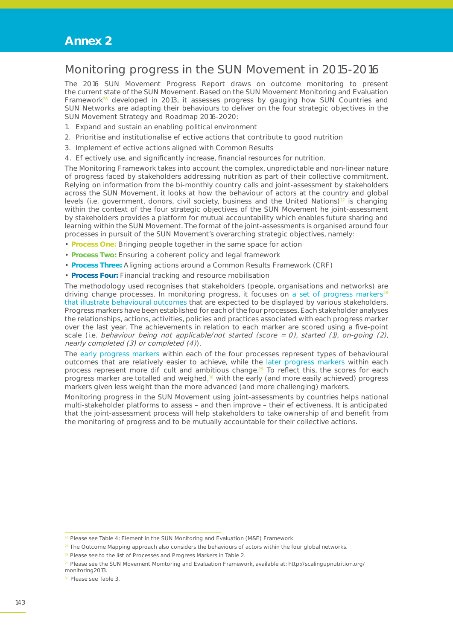## **Annex 2**

## Monitoring progress in the SUN Movement in 2015-2016

The 2016 SUN Movement Progress Report draws on outcome monitoring to present the current state of the SUN Movement. Based on the SUN Movement Monitoring and Evaluation Framework<sup>26</sup> developed in 2013, it assesses progress by gauging how SUN Countries and SUN Networks are adapting their behaviours to deliver on the four strategic objectives in the SUN Movement Strategy and Roadmap 2016-2020:

- 1. Expand and sustain an enabling political environment
- 2. Prioritise and institutionalise e ective actions that contribute to good nutrition
- 3. Implement e ective actions aligned with Common Results
- 4. E ectively use, and significantly increase, financial resources for nutrition.

The Monitoring Framework takes into account the complex, unpredictable and non-linear nature of progress faced by stakeholders addressing nutrition as part of their collective commitment. Relying on information from the bi-monthly country calls and joint-assessment by stakeholders across the SUN Movement, it looks at how the behaviour of actors at the country and global levels (i.e. government, donors, civil society, business and the United Nations) $27$  is changing within the context of the four strategic objectives of the SUN Movement he joint-assessment by stakeholders provides a platform for mutual accountability which enables future sharing and learning within the SUN Movement. The format of the joint-assessments is organised around four processes in pursuit of the SUN Movement's overarching strategic objectives, namely:

- **Process One:** Bringing people together in the same space for action
- **Process Two:** Ensuring a coherent policy and legal framework
- **Process Three:** Aligning actions around a Common Results Framework (CRF)
- **Process Four:** Financial tracking and resource mobilisation

The methodology used recognises that stakeholders (people, organisations and networks) are driving change processes. In monitoring progress, it focuses on a set of progress markers<sup>28</sup> that illustrate behavioural outcomes that are expected to be displayed by various stakeholders. Progress markers have been established for each of the four processes. Each stakeholder analyses the relationships, actions, activities, policies and practices associated with each progress marker over the last year. The achievements in relation to each marker are scored using a five-point scale (i.e. behaviour being not applicable/not started (score = 0), started (1), on-going (2), nearly completed (3) or completed (4)).

The early progress markers within each of the four processes represent types of behavioural outcomes that are relatively easier to achieve, while the later progress markers within each process represent more di  $\overline{\phantom{a}}$  cult and ambitious change.<sup>29</sup> To reflect this, the scores for each progress marker are totalled and weighed, $30$  with the early (and more easily achieved) progress markers given less weight than the more advanced (and more challenging) markers.

Monitoring progress in the SUN Movement using joint-assessments by countries helps national multi-stakeholder platforms to assess – and then improve – their e ectiveness. It is anticipated that the joint-assessment process will help stakeholders to take ownership of and benefit from the monitoring of progress and to be mutually accountable for their collective actions.

 $26$  Please see Table 4: Element in the SUN Monitoring and Evaluation (M&E) Framework

 $27$  The Outcome Mapping approach also considers the behaviours of actors within the four global networks.

<sup>&</sup>lt;sup>28</sup> Please see to the list of Processes and Progress Markers in Table 2.

<sup>&</sup>lt;sup>29</sup> Please see the SUN Movement Monitoring and Evaluation Framework, available at: http://scalingupnutrition.org/ monitoring2013.

<sup>30</sup> Please see Table 3.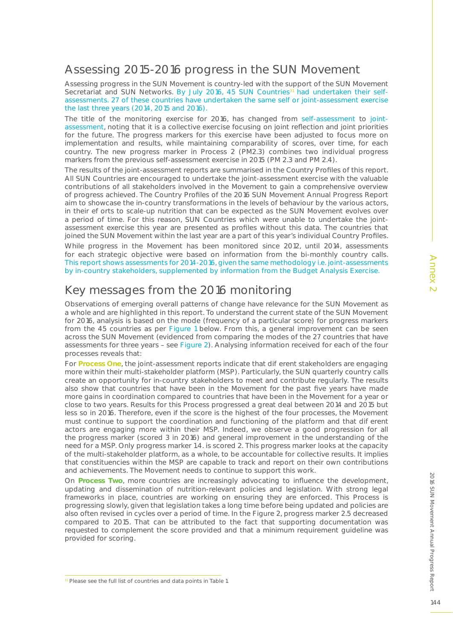Assessing progress in the SUN Movement is country-led with the support of the SUN Movement Secretariat and SUN Networks. By July 2016, 45 SUN Countries<sup>31</sup> had undertaken their selfassessments. 27 of these countries have undertaken the same self or joint-assessment exercise the last three years (2014, 2015 and 2016).

The title of the monitoring exercise for 2016, has changed from self-assessment to jointassessment, noting that it is a collective exercise focusing on joint reflection and joint priorities for the future. The progress markers for this exercise have been adjusted to focus more on implementation and results, while maintaining comparability of scores, over time, for each country. The new progress marker in Process 2 (PM2.3) combines two individual progress markers from the previous self-assessment exercise in 2015 (PM 2.3 and PM 2.4).

The results of the joint-assessment reports are summarised in the Country Profiles of this report. All SUN Countries are encouraged to undertake the joint-assessment exercise with the valuable contributions of all stakeholders involved in the Movement to gain a comprehensive overview of progress achieved. The Country Profiles of the 2016 SUN Movement Annual Progress Report aim to showcase the in-country transformations in the levels of behaviour by the various actors, in their e orts to scale-up nutrition that can be expected as the SUN Movement evolves over a period of time. For this reason, SUN Countries which were unable to undertake the jointassessment exercise this year are presented as profiles without this data. The countries that joined the SUN Movement within the last year are a part of this year's individual Country Profiles. While progress in the Movement has been monitored since 2012, until 2014, assessments for each strategic objective were based on information from the bi-monthly country calls. This report shows assessments for 2014-2016, given the same methodology i.e. joint-assessments by in-country stakeholders, supplemented by information from the Budget Analysis Exercise.

# Key messages from the 2016 monitoring

Observations of emerging overall patterns of change have relevance for the SUN Movement as a whole and are highlighted in this report. To understand the current state of the SUN Movement for 2016, analysis is based on the mode (frequency of a particular score) for progress markers from the 45 countries as per Figure 1 below. From this, a general improvement can be seen across the SUN Movement (evidenced from comparing the modes of the 27 countries that have assessments for three years – see Figure 2). Analysing information received for each of the four processes reveals that:

For **Process One**, the joint-assessment reports indicate that dievent stakeholders are engaging more within their multi-stakeholder platform (MSP). Particularly, the SUN quarterly country calls create an opportunity for in-country stakeholders to meet and contribute regularly. The results also show that countries that have been in the Movement for the past five years have made more gains in coordination compared to countries that have been in the Movement for a year or close to two years. Results for this Process progressed a great deal between 2014 and 2015 but less so in 2016. Therefore, even if the score is the highest of the four processes, the Movement must continue to support the coordination and functioning of the platform and that dieferent actors are engaging more within their MSP. Indeed, we observe a good progression for all the progress marker (scored 3 in 2016) and general improvement in the understanding of the need for a MSP. Only progress marker 1.4. is scored 2. This progress marker looks at the capacity of the multi-stakeholder platform, as a whole, to be accountable for collective results. It implies that constituencies within the MSP are capable to track and report on their own contributions and achievements. The Movement needs to continue to support this work.

On **Process Two**, more countries are increasingly advocating to influence the development, updating and dissemination of nutrition-relevant policies and legislation. With strong legal frameworks in place, countries are working on ensuring they are enforced. This Process is progressing slowly, given that legislation takes a long time before being updated and policies are also often revised in cycles over a period of time. In the Figure 2, progress marker 2.5 decreased compared to 2015. That can be attributed to the fact that supporting documentation was requested to complement the score provided and that a minimum requirement guideline was provided for scoring.

2016 SUN Movement

Annual Progress Report

2016 SUN Movement Annual Progress Repor

<sup>&</sup>lt;sup>31</sup> Please see the full list of countries and data points in Table 1.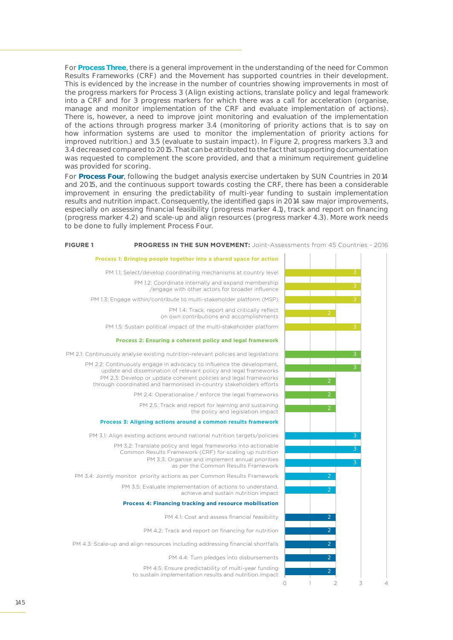For **Process Three**, there is a general improvement in the understanding of the need for Common Results Frameworks (CRF) and the Movement has supported countries in their development. This is evidenced by the increase in the number of countries showing improvements in most of the progress markers for Process 3 (Align existing actions, translate policy and legal framework into a CRF and for 3 progress markers for which there was a call for acceleration (organise, manage and monitor implementation of the CRF and evaluate implementation of actions). There is, however, a need to improve joint monitoring and evaluation of the implementation of the actions through progress marker 3.4 (monitoring of priority actions that is to say on how information systems are used to monitor the implementation of priority actions for improved nutrition.) and 3.5 (evaluate to sustain impact). In Figure 2, progress markers 3.3 and 3.4 decreased compared to 2015. That can be attributed to the fact that supporting documentation was requested to complement the score provided, and that a minimum requirement guideline was provided for scoring.

For **Process Four**, following the budget analysis exercise undertaken by SUN Countries in 2014 and 2015, and the continuous support towards costing the CRF, there has been a considerable improvement in ensuring the predictability of multi-year funding to sustain implementation results and nutrition impact. Consequently, the identified gaps in 2014 saw major improvements, especially on assessing financial feasibility (progress marker 4.1), track and report on financing (progress marker 4.2) and scale-up and align resources (progress marker 4.3). More work needs to be done to fully implement Process Four.

#### **FIGURE 1 PROGRESS IN THE SUN MOVEMENT:** Joint-Assessments from 45 Countries - 2016

PM 1.1: Select/develop coordinating mechanisms at country level PM 1.3: Engage within/contribute to multi-stakeholder platform (MSP) PM 1.5: Sustain political impact of the multi-stakeholder platform PM 2.1: Continuously analyse existing nutrition-relevant policies and legislations **Process 2: Ensuring a coherent policy and legal framework** PM 1.2: Coordinate internally and expand membership /engage with other actors for broader influence PM 1.4: Track, report and critically reflect on own contributions and accomplishments PM 2.2: Continuously engage in advocacy to influence the development, update and dissemination of relevant policy and legal frameworks PM 2.3: Develop or update coherent policies and legal frameworks

**Process 1: Bringing people together into a shared space for action**

PM 2.4: Operationalise / enforce the legal frameworks

PM 2.5: Track and report for learning and sustaining the policy and legislation impact

### **Process 3: Aligning actions around a common results framework**

through coordinated and harmonised in-country stakeholders efforts

PM 3.1: Align existing actions around national nutrition targets/policies

PM 3.2: Translate policy and legal frameworks into actionable Common Results Framework (CRF) for scaling up nutrition PM 3.3: Organise and implement annual priorities as per the Common Results Framework

PM 3.4: Jointly monitor priority actions as per Common Results Framework PM 3.5: Evaluate implementation of actions to understand, achieve and sustain nutrition impact

#### **Process 4: Financing tracking and resource mobilisation**

PM 4.1: Cost and assess financial feasibility

PM 4.2: Track and report on financing for nutrition

PM 4.3: Scale-up and align resources including addressing financial shortfalls

PM 4.4: Turn pledges into disbursements

PM 4.5: Ensure predictability of multi-year funding to sustain implementation results and nutrition impact

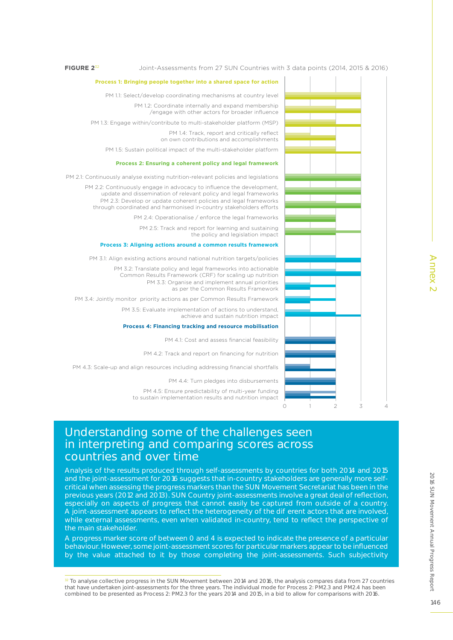#### **FIGURE 2**<sup>32</sup>

#### **Process 1: Bringing people together into a shared space for action**

PM 1.1: Select/develop coordinating mechanisms at country level

PM 1.2: Coordinate internally and expand membership /engage with other actors for broader influence

PM 1.3: Engage within/contribute to multi-stakeholder platform (MSP)

PM 1.4: Track, report and critically reflect on own contributions and accomplishments

PM 1.5: Sustain political impact of the multi-stakeholder platform

#### **Process 2: Ensuring a coherent policy and legal framework**

PM 2.1: Continuously analyse existing nutrition-relevant policies and legislations

PM 2.2: Continuously engage in advocacy to influence the development, update and dissemination of relevant policy and legal frameworks PM 2.3: Develop or update coherent policies and legal frameworks through coordinated and harmonised in-country stakeholders efforts

PM 2.4: Operationalise / enforce the legal frameworks

PM 2.5: Track and report for learning and sustaining the policy and legislation impact

### **Process 3: Aligning actions around a common results framework**

PM 3.1: Align existing actions around national nutrition targets/policies

PM 3.2: Translate policy and legal frameworks into actionable Common Results Framework (CRF) for scaling up nutrition PM 3.3: Organise and implement annual priorities as per the Common Results Framework

PM 3.4: Jointly monitor priority actions as per Common Results Framework

PM 3.5: Evaluate implementation of actions to understand, achieve and sustain nutrition impact

#### **Process 4: Financing tracking and resource mobilisation**

PM 4.1: Cost and assess financial feasibility

PM 4.2: Track and report on financing for nutrition

PM 4.3: Scale-up and align resources including addressing financial shortfalls

PM 4.4: Turn pledges into disbursements

PM 4.5: Ensure predictability of multi-year funding to sustain implementation results and nutrition impact



Analysis of the results produced through self-assessments by countries for both 2014 and 2015 and the joint-assessment for 2016 suggests that in-country stakeholders are generally more selfcritical when assessing the progress markers than the SUN Movement Secretariat has been in the previous years (2012 and 2013). SUN Country joint-assessments involve a great deal of reflection, especially on aspects of progress that cannot easily be captured from outside of a country. A joint-assessment appears to reflect the heterogeneity of the di erent actors that are involved, while external assessments, even when validated in-country, tend to reflect the perspective of the main stakeholder.

A progress marker score of between 0 and 4 is expected to indicate the presence of a particular behaviour. However, some joint-assessment scores for particular markers appear to be influenced by the value attached to it by those completing the joint-assessments. Such subjectivity



 $32$  To analyse collective progress in the SUN Movement between 2014 and 2016, the analysis compares data from 27 countries that have undertaken joint-assessments for the three years. The individual mode for Process 2: PM2.3 and PM2.4 has been combined to be presented as Process 2: PM2.3 for the years 2014 and 2015, in a bid to allow for comparisons with 2016.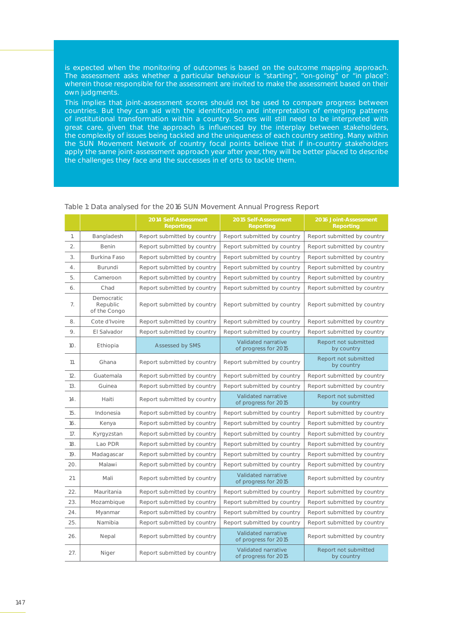is expected when the monitoring of outcomes is based on the outcome mapping approach. The assessment asks whether a particular behaviour is "starting", "on-going" or "in place": wherein those responsible for the assessment are invited to make the assessment based on their own judgments.

This implies that joint-assessment scores should not be used to compare progress between countries. But they can aid with the identification and interpretation of emerging patterns of institutional transformation within a country. Scores will still need to be interpreted with great care, given that the approach is influenced by the interplay between stakeholders, the complexity of issues being tackled and the uniqueness of each country setting. Many within the SUN Movement Network of country focal points believe that if in-country stakeholders apply the same joint-assessment approach year after year, they will be better placed to describe the challenges they face and the successes in e orts to tackle them.

|     |                                        | 2014 Self-Assessment<br><b>Reporting</b>                   | 2015 Self-Assessment<br><b>Reporting</b>    |                                    |
|-----|----------------------------------------|------------------------------------------------------------|---------------------------------------------|------------------------------------|
| 1.  | Bangladesh                             | Report submitted by country                                | Report submitted by country                 | Report submitted by country        |
| 2.  | Benin                                  | Report submitted by country                                | Report submitted by country                 | Report submitted by country        |
| 3.  | Burkina Faso                           | Report submitted by country                                | Report submitted by country                 | Report submitted by country        |
| 4.  | Burundi                                | Report submitted by country                                | Report submitted by country                 | Report submitted by country        |
| 5.  | Cameroon                               | Report submitted by country                                | Report submitted by country                 | Report submitted by country        |
| 6.  | Chad                                   | Report submitted by country                                | Report submitted by country                 | Report submitted by country        |
| 7.  | Democratic<br>Republic<br>of the Congo | Report submitted by country                                | Report submitted by country                 | Report submitted by country        |
| 8.  | Cote d'Ivoire                          | Report submitted by country                                | Report submitted by country                 | Report submitted by country        |
| 9.  | El Salvador                            | Report submitted by country                                | Report submitted by country                 | Report submitted by country        |
| 10. | Ethiopia                               | Assessed by SMS                                            | Validated narrative<br>of progress for 2015 | Report not submitted<br>by country |
| 11. | Ghana                                  | Report submitted by country                                | Report submitted by country                 | Report not submitted<br>by country |
| 12. | Guatemala                              | Report submitted by country                                | Report submitted by country                 | Report submitted by country        |
| 13. | Guinea                                 | Report submitted by country                                | Report submitted by country                 | Report submitted by country        |
| 14. | Haiti                                  | Report submitted by country                                | Validated narrative<br>of progress for 2015 | Report not submitted<br>by country |
| 15. | Indonesia                              | Report submitted by country                                | Report submitted by country                 | Report submitted by country        |
| 16. | Kenya                                  | Report submitted by country                                | Report submitted by country                 | Report submitted by country        |
| 17. | Kyrgyzstan                             | Report submitted by country                                | Report submitted by country                 | Report submitted by country        |
| 18. | Lao PDR                                | Report submitted by country                                | Report submitted by country                 | Report submitted by country        |
| 19. | Madagascar                             | Report submitted by country                                | Report submitted by country                 | Report submitted by country        |
| 20. | Malawi                                 | Report submitted by country                                | Report submitted by country                 | Report submitted by country        |
| 21. | Mali                                   | Report submitted by country                                | Validated narrative<br>of progress for 2015 | Report submitted by country        |
| 22. | Mauritania                             | Report submitted by country                                | Report submitted by country                 | Report submitted by country        |
| 23. | Mozambique                             | Report submitted by country<br>Report submitted by country |                                             | Report submitted by country        |
| 24. | Myanmar                                | Report submitted by country                                | Report submitted by country                 | Report submitted by country        |
| 25. | Namibia                                | Report submitted by country                                | Report submitted by country                 | Report submitted by country        |
| 26. | Nepal                                  | Report submitted by country                                | Validated narrative<br>of progress for 2015 | Report submitted by country        |
| 27. | Niger                                  | Report submitted by country                                | Validated narrative<br>of progress for 2015 | Report not submitted<br>by country |

### Table 1: Data analysed for the 2016 SUN Movement Annual Progress Report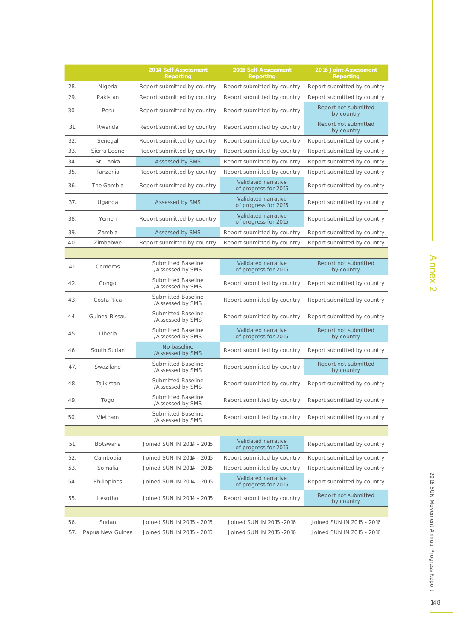|     |                  | 2014 Self-Assessment<br><b>Reporting</b>      | 2015 Self-Assessment<br><b>Reporting</b>    | 2016 Joint-Assessment<br><b>Reporting</b> |
|-----|------------------|-----------------------------------------------|---------------------------------------------|-------------------------------------------|
| 28. | Nigeria          | Report submitted by country                   | Report submitted by country                 | Report submitted by country               |
| 29. | Pakistan         | Report submitted by country                   | Report submitted by country                 | Report submitted by country               |
| 30. | Peru             | Report submitted by country                   | Report submitted by country                 | Report not submitted<br>by country        |
| 31. | Rwanda           | Report submitted by country                   | Report submitted by country                 | Report not submitted<br>by country        |
| 32. | Senegal          | Report submitted by country                   | Report submitted by country                 | Report submitted by country               |
| 33. | Sierra Leone     | Report submitted by country                   | Report submitted by country                 | Report submitted by country               |
| 34. | Sri Lanka        | Assessed by SMS                               | Report submitted by country                 | Report submitted by country               |
| 35. | Tanzania         | Report submitted by country                   | Report submitted by country                 | Report submitted by country               |
| 36. | The Gambia       | Report submitted by country                   | Validated narrative<br>of progress for 2015 | Report submitted by country               |
| 37. | Uganda           | Assessed by SMS                               | Validated narrative<br>of progress for 2015 | Report submitted by country               |
| 38. | Yemen            | Report submitted by country                   | Validated narrative<br>of progress for 2015 | Report submitted by country               |
| 39. | Zambia           | Assessed by SMS                               | Report submitted by country                 | Report submitted by country               |
| 40. | Zimbabwe         | Report submitted by country                   | Report submitted by country                 | Report submitted by country               |
|     |                  |                                               |                                             |                                           |
| 41. | Comoros          | Submitted Baseline<br>/Assessed by SMS        | Validated narrative<br>of progress for 2015 | Report not submitted<br>by country        |
| 42. | Congo            | <b>Submitted Baseline</b><br>/Assessed by SMS | Report submitted by country                 | Report submitted by country               |
| 43. | Costa Rica       | Submitted Baseline<br>/Assessed by SMS        | Report submitted by country                 | Report submitted by country               |
| 44. | Guinea-Bissau    | Submitted Baseline<br>/Assessed by SMS        | Report submitted by country                 | Report submitted by country               |
| 45. | Liberia          | Submitted Baseline<br>/Assessed by SMS        | Validated narrative<br>of progress for 2015 | Report not submitted<br>by country        |
| 46. | South Sudan      | No baseline<br>/Assessed by SMS               | Report submitted by country                 | Report submitted by country               |
| 47. | Swaziland        | Submitted Baseline<br>/Assessed by SMS        | Report submitted by country                 | Report not submitted<br>by country        |
| 48. | Tajikistan       | Submitted Baseline<br>/Assessed by SMS        | Report submitted by country                 | Report submitted by country               |
| 49. | Togo             | Submitted Baseline<br>/Assessed by SMS        | Report submitted by country                 | Report submitted by country               |
| 50. | Vietnam          | <b>Submitted Baseline</b><br>/Assessed by SMS | Report submitted by country                 | Report submitted by country               |
|     |                  |                                               |                                             |                                           |
| 51. | Botswana         | Joined SUN IN 2014 - 2015                     | Validated narrative<br>of progress for 2015 | Report submitted by country               |
| 52. | Cambodia         | Joined SUN IN 2014 - 2015                     | Report submitted by country                 | Report submitted by country               |
| 53. | Somalia          | Joined SUN IN 2014 - 2015                     | Report submitted by country                 | Report submitted by country               |
| 54. | Philippines      | Joined SUN IN 2014 - 2015                     | Validated narrative<br>of progress for 2015 | Report submitted by country               |
| 55. | Lesotho          | Joined SUN IN 2014 - 2015                     | Report submitted by country                 | Report not submitted<br>by country        |
|     |                  |                                               |                                             |                                           |
| 56. | Sudan            | Joined SUN IN 2015 - 2016                     | Joined SUN IN 2015 - 2016                   | Joined SUN IN 2015 - 2016                 |
| 57. | Papua New Guinea | Joined SUN IN 2015 - 2016                     | Joined SUN IN 2015 - 2016                   | Joined SUN IN 2015 - 2016                 |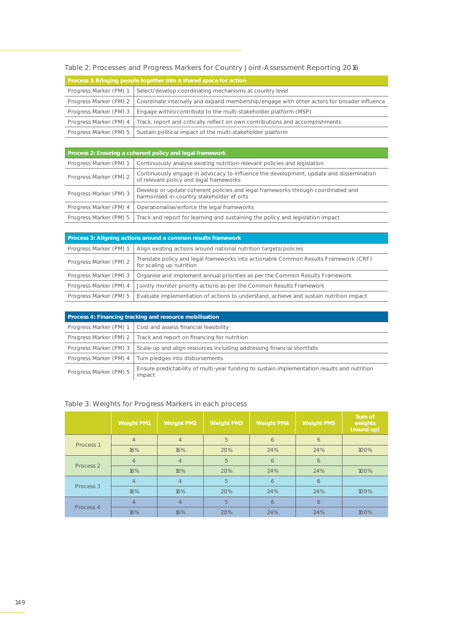## Table 2: Processes and Progress Markers for Country Joint-Assessment Reporting 2016

| Process 1: Bringing people together into a shared space for action                         |                                                                                            |  |  |
|--------------------------------------------------------------------------------------------|--------------------------------------------------------------------------------------------|--|--|
| Progress Marker (PM) 1                                                                     | Select/develop coordinating mechanisms at country level                                    |  |  |
| Progress Marker (PM) 2                                                                     | Coordinate internally and expand membership/engage with other actors for broader influence |  |  |
| Engage within/contribute to the multi-stakeholder platform (MSP)<br>Progress Marker (PM) 3 |                                                                                            |  |  |
| Progress Marker (PM) 4                                                                     | Track, report and critically reflect on own contributions and accomplishments              |  |  |
| Progress Marker (PM) 5                                                                     | Sustain political impact of the multi-stakeholder platform                                 |  |  |

| Process 2: Ensuring a coherent policy and legal framework                                           |                                                                                                                                   |  |  |
|-----------------------------------------------------------------------------------------------------|-----------------------------------------------------------------------------------------------------------------------------------|--|--|
| Progress Marker (PM) 1<br>Continuously analyse existing nutrition-relevant policies and legislation |                                                                                                                                   |  |  |
| Progress Marker (PM) 2                                                                              | Continuously engage in advocacy to influence the development, update and dissemination<br>of relevant policy and legal frameworks |  |  |
| Progress Marker (PM) 3                                                                              | Develop or update coherent policies and legal frameworks through coordinated and<br>harmonised in-country stakeholder e orts      |  |  |
| Progress Marker (PM) 4                                                                              | Operationalise/enforce the legal frameworks                                                                                       |  |  |
|                                                                                                     | Progress Marker (PM) 5 Track and report for learning and sustaining the policy and legislation impact                             |  |  |

| Process 3: Aligning actions around a common results framework                               |                                                                                                                  |  |  |  |
|---------------------------------------------------------------------------------------------|------------------------------------------------------------------------------------------------------------------|--|--|--|
| Progress Marker (PM) 1<br>Align existing actions around national nutrition targets/policies |                                                                                                                  |  |  |  |
| Progress Marker (PM) 2                                                                      | Translate policy and legal frameworks into actionable Common Results Framework (CRF)<br>for scaling up nutrition |  |  |  |
| Progress Marker (PM) 3                                                                      | Organise and implement annual priorities as per the Common Results Framework                                     |  |  |  |
| Progress Marker (PM) 4                                                                      | Jointly monitor priority actions as per the Common Results Framework                                             |  |  |  |
| Progress Marker (PM) 5                                                                      | Evaluate implementation of actions to understand, achieve and sustain nutrition impact                           |  |  |  |

| Process 4: Financing tracking and resource mobilisation                                                                         |                                       |  |  |  |
|---------------------------------------------------------------------------------------------------------------------------------|---------------------------------------|--|--|--|
| Progress Marker (PM) 1                                                                                                          | Cost and assess financial feasibility |  |  |  |
| Track and report on financing for nutrition<br>Progress Marker (PM) 2                                                           |                                       |  |  |  |
| Scale-up and align resources including addressing financial shortfalls<br>Progress Marker (PM) 3                                |                                       |  |  |  |
| Turn pledges into disbursements<br>Progress Marker (PM) 4                                                                       |                                       |  |  |  |
| Ensure predictability of multi-year funding to sustain implementation results and nutrition<br>Progress Marker (PM) 5<br>impact |                                       |  |  |  |

## Table 3: Weights for Progress Markers in each process

|                      | <b>Weight PM1</b> | <b>Weight PM2</b> | <b>Weight PM3</b> | <b>Weight PM4</b> | <b>Weight PM5</b> | Sum of<br>weights<br>(round up) |
|----------------------|-------------------|-------------------|-------------------|-------------------|-------------------|---------------------------------|
| Process <sub>1</sub> | $\overline{4}$    | $\overline{4}$    | 5                 | 6                 | 6                 |                                 |
|                      | 16%               | 16%               | 20%               | 24%               | 24%               | 100%                            |
| Process <sub>2</sub> | $\overline{4}$    | $\overline{4}$    | 5                 | 6                 | 6                 |                                 |
|                      | 16%               | 16%               | 20%               | 24%               | 24%               | 100%                            |
|                      | $\overline{4}$    | $\overline{4}$    | 5                 | 6                 | 6                 |                                 |
| Process 3            | 16%               | 16%               | 20%               | 24%               | 24%               | 100%                            |
|                      | $\overline{4}$    | $\overline{4}$    | 5                 | 6                 | 6                 |                                 |
| Process 4            | 16%               | 16%               | 20%               | 24%               | 24%               | 100%                            |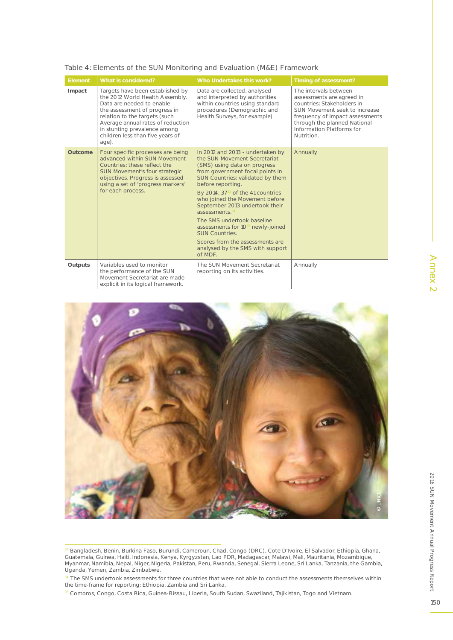| <b>Element</b> | What is considered?                                                                                                                                                                                                                                                                  | Who Undertakes this work?                                                                                                                                                                                                                                                                                                                                                                                                                                                                                                               | Timing of assessment?                                                                                                                                                                                                           |  |  |
|----------------|--------------------------------------------------------------------------------------------------------------------------------------------------------------------------------------------------------------------------------------------------------------------------------------|-----------------------------------------------------------------------------------------------------------------------------------------------------------------------------------------------------------------------------------------------------------------------------------------------------------------------------------------------------------------------------------------------------------------------------------------------------------------------------------------------------------------------------------------|---------------------------------------------------------------------------------------------------------------------------------------------------------------------------------------------------------------------------------|--|--|
| Impact         | Targets have been established by<br>the 2012 World Health Assembly.<br>Data are needed to enable<br>the assessment of progress in<br>relation to the targets (such<br>Average annual rates of reduction<br>in stunting prevalence among<br>children less than five years of<br>age). | Data are collected, analysed<br>and interpreted by authorities<br>within countries using standard<br>procedures (Demographic and<br>Health Surveys, for example)                                                                                                                                                                                                                                                                                                                                                                        | The intervals between<br>assessments are agreed in<br>countries: Stakeholders in<br>SUN Movement seek to increase<br>frequency of impact assessments<br>through the planned National<br>Information Platforms for<br>Nutrition. |  |  |
| Outcome        | Four specific processes are being<br>advanced within SUN Movement<br>Countries: these reflect the<br>SUN Movement's four strategic<br>objectives. Progress is assessed<br>using a set of 'progress markers'<br>for each process.                                                     | In 2012 and 2013 - undertaken by<br>the SUN Movement Secretariat<br>(SMS) using data on progress<br>from government focal points in<br>SUN Countries: validated by them<br>before reporting.<br>By 2014, 37 <sup>33</sup> of the 41 countries<br>who joined the Movement before<br>September 2013 undertook their<br>assessments <sup>3</sup><br>The SMS undertook baseline<br>assessments for 10 <sup>35</sup> newly-joined<br><b>SUN Countries.</b><br>Scores from the assessments are<br>analysed by the SMS with support<br>of MDF. | Annually                                                                                                                                                                                                                        |  |  |
| <b>Outputs</b> | Variables used to monitor<br>the performance of the SUN<br>Movement Secretariat are made<br>explicit in its logical framework.                                                                                                                                                       | The SUN Movement Secretariat<br>reporting on its activities.                                                                                                                                                                                                                                                                                                                                                                                                                                                                            | Annually                                                                                                                                                                                                                        |  |  |

Table 4: Elements of the SUN Monitoring and Evaluation (M&E) Framework



<sup>&</sup>lt;sup>33</sup> Bangladesh, Benin, Burkina Faso, Burundi, Cameroun, Chad, Congo (DRC), Cote D'Ivoire, El Salvador, Ethiopia, Ghana, Guatemala, Guinea, Haiti, Indonesia, Kenya, Kyrgyzstan, Lao PDR, Madagascar, Malawi, Mali, Mauritania, Mozambique, Myanmar, Namibia, Nepal, Niger, Nigeria, Pakistan, Peru, Rwanda, Senegal, Sierra Leone, Sri Lanka, Tanzania, the Gambia, Uganda, Yemen, Zambia, Zimbabwe.

34 The SMS undertook assessments for three countries that were not able to conduct the assessments themselves within the time-frame for reporting: Ethiopia, Zambia and Sri Lanka.

35 Comoros, Congo, Costa Rica, Guinea-Bissau, Liberia, South Sudan, Swaziland, Tajikistan, Togo and Vietnam.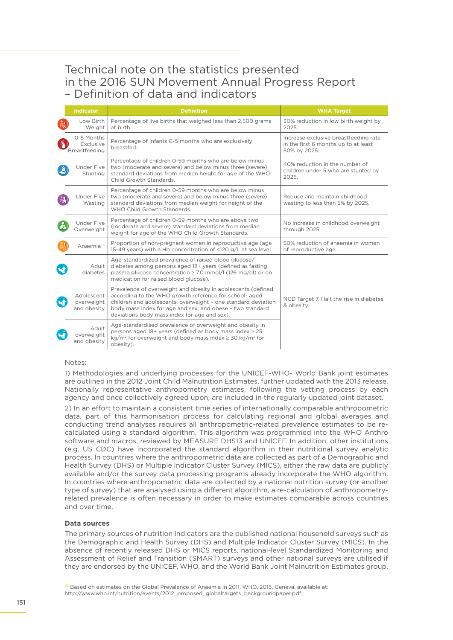## Technical note on the statistics presented in the 2016 SUN Movement Annual Progress Report – Definition of data and indicators

|                    | Indicator                                | <b>Definition</b>                                                                                                                                                                                                                                                                                    | <b>WHA Target</b>                                                                             |
|--------------------|------------------------------------------|------------------------------------------------------------------------------------------------------------------------------------------------------------------------------------------------------------------------------------------------------------------------------------------------------|-----------------------------------------------------------------------------------------------|
|                    | Low Birth<br>Weight                      | Percentage of live births that weighed less than 2,500 grams<br>at birth.                                                                                                                                                                                                                            | 30% reduction in low birth weight by<br>2025.                                                 |
| Δ                  | 0-5 Months<br>Exclusive<br>Breastfeeding | Percentage of infants 0-5 months who are exclusively<br>breastfed.                                                                                                                                                                                                                                   | Increase exclusive breastfeeding rate<br>in the first 6 months up to at least<br>50% by 2025. |
|                    | Under Five<br>Stunting                   | Percentage of children 0-59 months who are below minus<br>two (moderate and severe) and below minus three (severe)<br>standard deviations from median height for age of the WHO<br>Child Growth Standards.                                                                                           | 40% reduction in the number of<br>children under 5 who are stunted by<br>2025.                |
|                    | <b>Under Five</b><br>Wasting             | Percentage of children 0-59 months who are below minus<br>two (moderate and severe) and below minus three (severe)<br>standard deviations from median weight for height of the<br>WHO Child Growth Standards.                                                                                        | Reduce and maintain childhood<br>wasting to less than 5% by 2025.                             |
|                    | Under Five<br>Overweight                 | Percentage of children 0-59 months who are above two<br>(moderate and severe) standard deviations from median<br>weight for age of the WHO Child Growth Standards.                                                                                                                                   | No increase in childhood overweight<br>through 2025.                                          |
|                    | Anaemia <sup>36</sup>                    | Proportion of non-pregnant women in reproductive age (age<br>15-49 years) with a Hb concentration of <120 g/L at sea level.                                                                                                                                                                          | 50% reduction of anaemia in women<br>of reproductive age.                                     |
|                    | Adult<br>diabetes                        | Age-standardized prevalence of raised blood glucose/<br>diabetes among persons aged 18+ years (defined as fasting<br>plasma glucose concentration ≥ 7.0 mmol/l (126 mg/dl) or on<br>medication for raised blood glucose).                                                                            |                                                                                               |
| $\dot{\mathbf{z}}$ | Adolescent<br>overweight<br>and obesity  | Prevalence of overweight and obesity in adolescents (defined<br>according to the WHO growth reference for school- aged<br>children and adolescents, overweight - one standard deviation<br>body mass index for age and sex, and obese - two standard<br>deviations body mass index for age and sex). | NCD Target 7. Halt the rise in diabetes<br>& obesity.                                         |
|                    | Adult<br>overweight<br>and obesity       | Age-standardised prevalence of overweight and obesity in<br>persons aged 18+ years (defined as body mass index $\geq$ 25<br>kg/m <sup>2</sup> for overweight and body mass index $\geq$ 30 kg/m <sup>2</sup> for<br>obesity).                                                                        |                                                                                               |

### Notes:

1) Methodologies and underlying processes for the UNICEF-WHO- World Bank joint estimates are outlined in the 2012 Joint Child Malnutrition Estimates, further updated with the 2013 release. Nationally representative anthropometry estimates, following the vetting process by each agency and once collectively agreed upon, are included in the regularly updated joint dataset.

2) In an effort to maintain a consistent time series of internationally comparable anthropometric data, part of this harmonisation process for calculating regional and global averages and conducting trend analyses requires all anthropometric-related prevalence estimates to be recalculated using a standard algorithm. This algorithm was programmed into the WHO Anthro software and macros, reviewed by MEASURE DHS13 and UNICEF. In addition, other institutions (e.g. US CDC) have incorporated the standard algorithm in their nutritional survey analytic process. In countries where the anthropometric data are collected as part of a Demographic and Health Survey (DHS) or Multiple Indicator Cluster Survey (MICS), either the raw data are publicly available and/or the survey data processing programs already incorporate the WHO algorithm. In countries where anthropometric data are collected by a national nutrition survey (or another type of survey) that are analysed using a different algorithm, a re-calculation of anthropometryrelated prevalence is often necessary in order to make estimates comparable across countries and over time.

### **Data sources**

The primary sources of nutrition indicators are the published national household surveys such as the Demographic and Health Survey (DHS) and Multiple Indicator Cluster Survey (MICS). In the absence of recently released DHS or MICS reports, national-level Standardized Monitoring and Assessment of Relief and Transition (SMART) surveys and other national surveys are utilised if they are endorsed by the UNICEF, WHO, and the World Bank Joint Malnutrition Estimates group.

<sup>36</sup> Based on estimates on the Global Prevalence of Anaemia in 2011, WHO, 2015, Geneva, available at: http://www.who.int/nutrition/events/2012\_proposed\_globaltargets\_backgroundpaper.pdf.